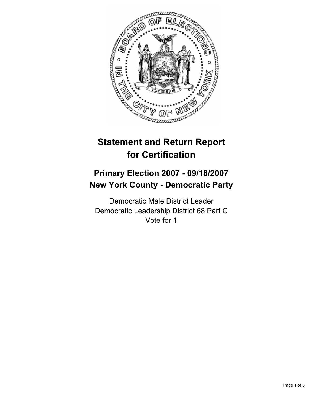

# **Statement and Return Report for Certification**

# **Primary Election 2007 - 09/18/2007 New York County - Democratic Party**

Democratic Male District Leader Democratic Leadership District 68 Part C Vote for 1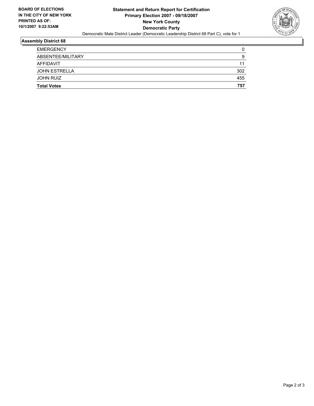

#### **Assembly District 68**

| <b>JOHN RUIZ</b>                  | 455       |
|-----------------------------------|-----------|
| AFFIDAVIT<br><b>JOHN ESTRELLA</b> | 11<br>302 |
|                                   |           |
| ABSENTEE/MILITARY                 | g         |
| <b>EMERGENCY</b>                  |           |